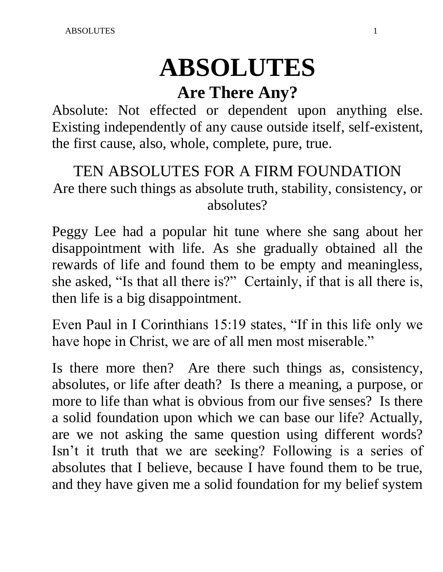# **ABSOLUTES**

# **Are There Any?**

Absolute: Not effected or dependent upon anything else. Existing independently of any cause outside itself, self-existent, the first cause, also, whole, complete, pure, true.

## TEN ABSOLUTES FOR A FIRM FOUNDATION Are there such things as absolute truth, stability, consistency, or absolutes?

Peggy Lee had a popular hit tune where she sang about her disappointment with life. As she gradually obtained all the rewards of life and found them to be empty and meaningless, she asked, "Is that all there is?" Certainly, if that is all there is, then life is a big disappointment.

Even Paul in I Corinthians 15:19 states, "If in this life only we have hope in Christ, we are of all men most miserable."

Is there more then? Are there such things as, consistency, absolutes, or life after death? Is there a meaning, a purpose, or more to life than what is obvious from our five senses? Is there a solid foundation upon which we can base our life? Actually, are we not asking the same question using different words? Isn't it truth that we are seeking? Following is a series of absolutes that I believe, because I have found them to be true, and they have given me a solid foundation for my belief system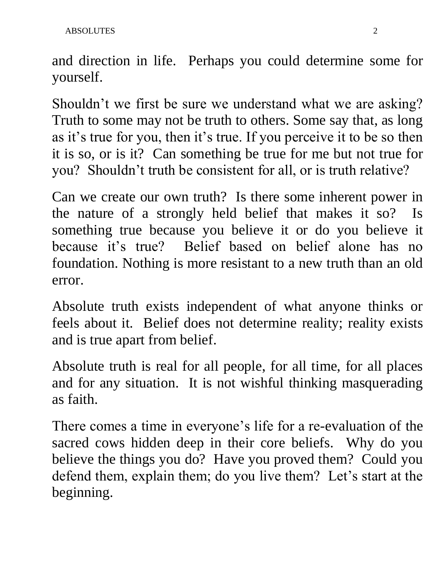and direction in life. Perhaps you could determine some for yourself.

Shouldn't we first be sure we understand what we are asking? Truth to some may not be truth to others. Some say that, as long as it's true for you, then it's true. If you perceive it to be so then it is so, or is it? Can something be true for me but not true for you? Shouldn't truth be consistent for all, or is truth relative?

Can we create our own truth? Is there some inherent power in the nature of a strongly held belief that makes it so? Is something true because you believe it or do you believe it because it's true? Belief based on belief alone has no foundation. Nothing is more resistant to a new truth than an old error.

Absolute truth exists independent of what anyone thinks or feels about it. Belief does not determine reality; reality exists and is true apart from belief.

Absolute truth is real for all people, for all time, for all places and for any situation. It is not wishful thinking masquerading as faith.

There comes a time in everyone's life for a re-evaluation of the sacred cows hidden deep in their core beliefs. Why do you believe the things you do? Have you proved them? Could you defend them, explain them; do you live them? Let's start at the beginning.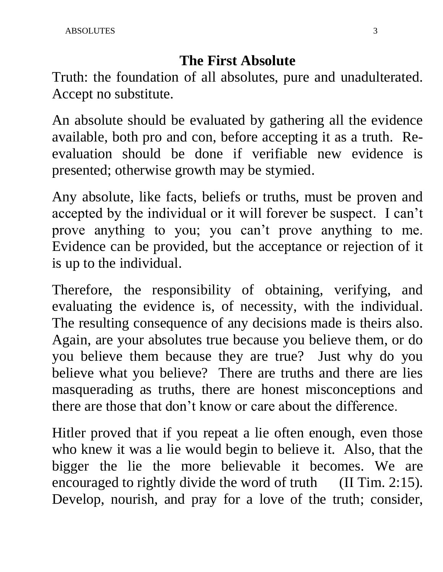#### **The First Absolute**

Truth: the foundation of all absolutes, pure and unadulterated. Accept no substitute.

An absolute should be evaluated by gathering all the evidence available, both pro and con, before accepting it as a truth. Reevaluation should be done if verifiable new evidence is presented; otherwise growth may be stymied.

Any absolute, like facts, beliefs or truths, must be proven and accepted by the individual or it will forever be suspect. I can't prove anything to you; you can't prove anything to me. Evidence can be provided, but the acceptance or rejection of it is up to the individual.

Therefore, the responsibility of obtaining, verifying, and evaluating the evidence is, of necessity, with the individual. The resulting consequence of any decisions made is theirs also. Again, are your absolutes true because you believe them, or do you believe them because they are true? Just why do you believe what you believe? There are truths and there are lies masquerading as truths, there are honest misconceptions and there are those that don't know or care about the difference.

Hitler proved that if you repeat a lie often enough, even those who knew it was a lie would begin to believe it. Also, that the bigger the lie the more believable it becomes. We are encouraged to rightly divide the word of truth (II Tim. 2:15). Develop, nourish, and pray for a love of the truth; consider,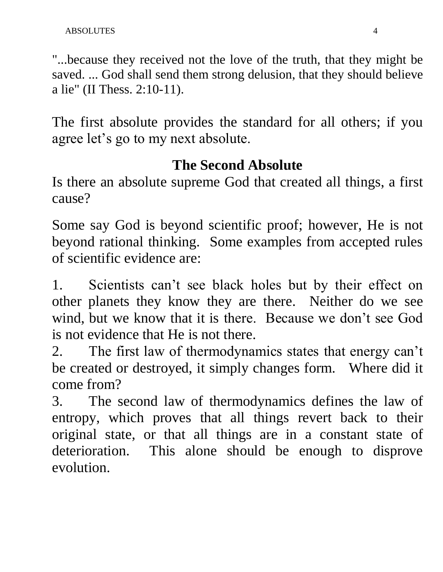"...because they received not the love of the truth, that they might be saved. ... God shall send them strong delusion, that they should believe a lie" (II Thess. 2:10-11).

The first absolute provides the standard for all others; if you agree let's go to my next absolute.

#### **The Second Absolute**

Is there an absolute supreme God that created all things, a first cause?

Some say God is beyond scientific proof; however, He is not beyond rational thinking. Some examples from accepted rules of scientific evidence are:

1. Scientists can't see black holes but by their effect on other planets they know they are there. Neither do we see wind, but we know that it is there. Because we don't see God is not evidence that He is not there.

2. The first law of thermodynamics states that energy can't be created or destroyed, it simply changes form. Where did it come from?

3. The second law of thermodynamics defines the law of entropy, which proves that all things revert back to their original state, or that all things are in a constant state of deterioration. This alone should be enough to disprove evolution.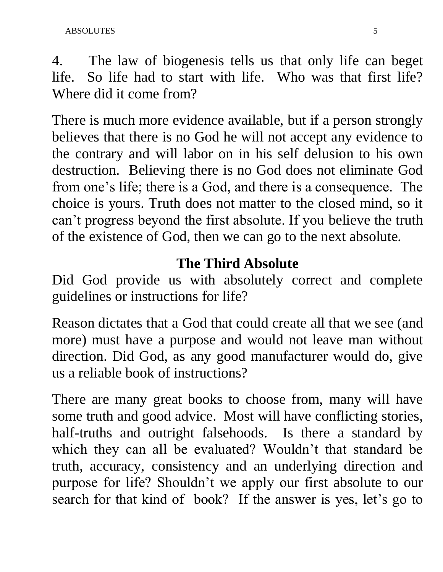4. The law of biogenesis tells us that only life can beget life. So life had to start with life. Who was that first life? Where did it come from?

There is much more evidence available, but if a person strongly believes that there is no God he will not accept any evidence to the contrary and will labor on in his self delusion to his own destruction. Believing there is no God does not eliminate God from one's life; there is a God, and there is a consequence. The choice is yours. Truth does not matter to the closed mind, so it can't progress beyond the first absolute. If you believe the truth of the existence of God, then we can go to the next absolute.

#### **The Third Absolute**

Did God provide us with absolutely correct and complete guidelines or instructions for life?

Reason dictates that a God that could create all that we see (and more) must have a purpose and would not leave man without direction. Did God, as any good manufacturer would do, give us a reliable book of instructions?

There are many great books to choose from, many will have some truth and good advice. Most will have conflicting stories, half-truths and outright falsehoods. Is there a standard by which they can all be evaluated? Wouldn't that standard be truth, accuracy, consistency and an underlying direction and purpose for life? Shouldn't we apply our first absolute to our search for that kind of book? If the answer is yes, let's go to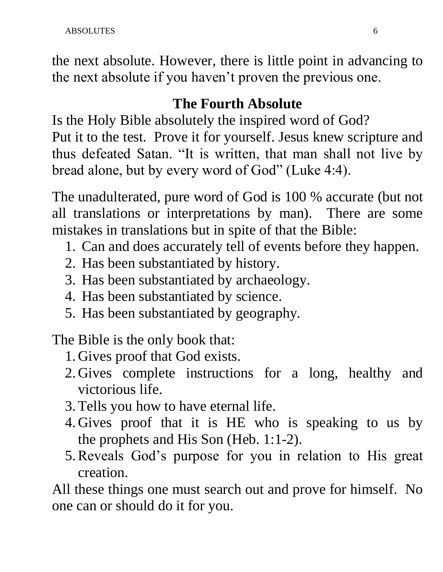the next absolute. However, there is little point in advancing to the next absolute if you haven't proven the previous one.

## **The Fourth Absolute**

Is the Holy Bible absolutely the inspired word of God? Put it to the test. Prove it for yourself. Jesus knew scripture and thus defeated Satan. "It is written, that man shall not live by bread alone, but by every word of God" (Luke 4:4).

The unadulterated, pure word of God is 100 % accurate (but not all translations or interpretations by man). There are some mistakes in translations but in spite of that the Bible:

- 1. Can and does accurately tell of events before they happen.
- 2. Has been substantiated by history.
- 3. Has been substantiated by archaeology.
- 4. Has been substantiated by science.
- 5. Has been substantiated by geography.

The Bible is the only book that:

- 1. Gives proof that God exists.
- 2. Gives complete instructions for a long, healthy and victorious life.
- 3.Tells you how to have eternal life.
- 4. Gives proof that it is HE who is speaking to us by the prophets and His Son (Heb. 1:1-2).
- 5.Reveals God's purpose for you in relation to His great creation.

All these things one must search out and prove for himself. No one can or should do it for you.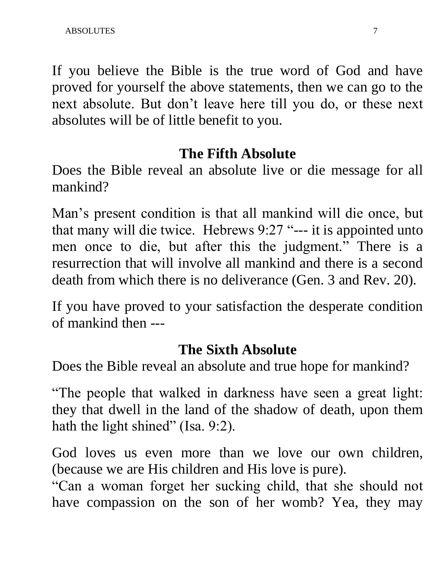If you believe the Bible is the true word of God and have proved for yourself the above statements, then we can go to the next absolute. But don't leave here till you do, or these next absolutes will be of little benefit to you.

#### **The Fifth Absolute**

Does the Bible reveal an absolute live or die message for all mankind?

Man's present condition is that all mankind will die once, but that many will die twice. Hebrews 9:27 "--- it is appointed unto men once to die, but after this the judgment." There is a resurrection that will involve all mankind and there is a second death from which there is no deliverance (Gen. 3 and Rev. 20).

If you have proved to your satisfaction the desperate condition of mankind then ---

#### **The Sixth Absolute**

Does the Bible reveal an absolute and true hope for mankind?

"The people that walked in darkness have seen a great light: they that dwell in the land of the shadow of death, upon them hath the light shined" (Isa. 9:2).

God loves us even more than we love our own children, (because we are His children and His love is pure).

"Can a woman forget her sucking child, that she should not have compassion on the son of her womb? Yea, they may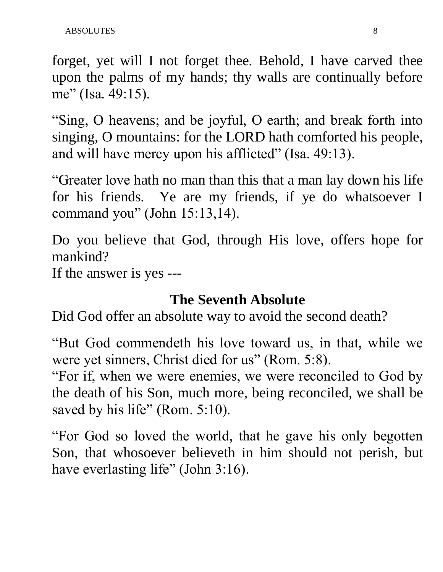forget, yet will I not forget thee. Behold, I have carved thee upon the palms of my hands; thy walls are continually before me" (Isa. 49:15).

"Sing, O heavens; and be joyful, O earth; and break forth into singing, O mountains: for the LORD hath comforted his people, and will have mercy upon his afflicted" (Isa. 49:13).

"Greater love hath no man than this that a man lay down his life for his friends. Ye are my friends, if ye do whatsoever I command you" (John 15:13,14).

Do you believe that God, through His love, offers hope for mankind?

If the answer is yes ---

#### **The Seventh Absolute**

Did God offer an absolute way to avoid the second death?

"But God commendeth his love toward us, in that, while we were yet sinners, Christ died for us" (Rom. 5:8).

"For if, when we were enemies, we were reconciled to God by the death of his Son, much more, being reconciled, we shall be saved by his life" (Rom. 5:10).

"For God so loved the world, that he gave his only begotten Son, that whosoever believeth in him should not perish, but have everlasting life" (John 3:16).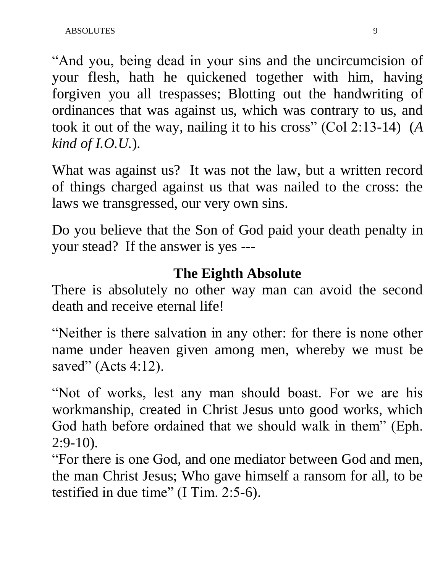"And you, being dead in your sins and the uncircumcision of your flesh, hath he quickened together with him, having forgiven you all trespasses; Blotting out the handwriting of ordinances that was against us, which was contrary to us, and took it out of the way, nailing it to his cross" (Col 2:13-14) (*A kind of I.O.U.*).

What was against us? It was not the law, but a written record of things charged against us that was nailed to the cross: the laws we transgressed, our very own sins.

Do you believe that the Son of God paid your death penalty in your stead? If the answer is yes ---

## **The Eighth Absolute**

There is absolutely no other way man can avoid the second death and receive eternal life!

"Neither is there salvation in any other: for there is none other name under heaven given among men, whereby we must be saved" (Acts 4:12).

"Not of works, lest any man should boast. For we are his workmanship, created in Christ Jesus unto good works, which God hath before ordained that we should walk in them" (Eph. 2:9-10).

"For there is one God, and one mediator between God and men, the man Christ Jesus; Who gave himself a ransom for all, to be testified in due time" (I Tim. 2:5-6).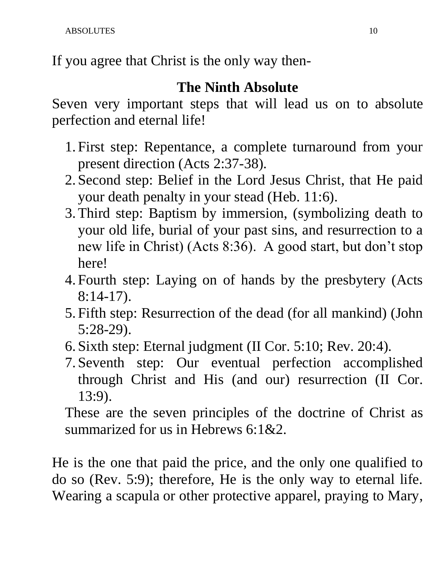If you agree that Christ is the only way then-

## **The Ninth Absolute**

Seven very important steps that will lead us on to absolute perfection and eternal life!

- 1. First step: Repentance, a complete turnaround from your present direction (Acts 2:37-38).
- 2. Second step: Belief in the Lord Jesus Christ, that He paid your death penalty in your stead (Heb. 11:6).
- 3.Third step: Baptism by immersion, (symbolizing death to your old life, burial of your past sins, and resurrection to a new life in Christ) (Acts 8:36). A good start, but don't stop here!
- 4. Fourth step: Laying on of hands by the presbytery (Acts 8:14-17).
- 5. Fifth step: Resurrection of the dead (for all mankind) (John 5:28-29).
- 6. Sixth step: Eternal judgment (II Cor. 5:10; Rev. 20:4).
- 7. Seventh step: Our eventual perfection accomplished through Christ and His (and our) resurrection (II Cor. 13:9).

These are the seven principles of the doctrine of Christ as summarized for us in Hebrews 6:1&2.

He is the one that paid the price, and the only one qualified to do so (Rev. 5:9); therefore, He is the only way to eternal life. Wearing a scapula or other protective apparel, praying to Mary,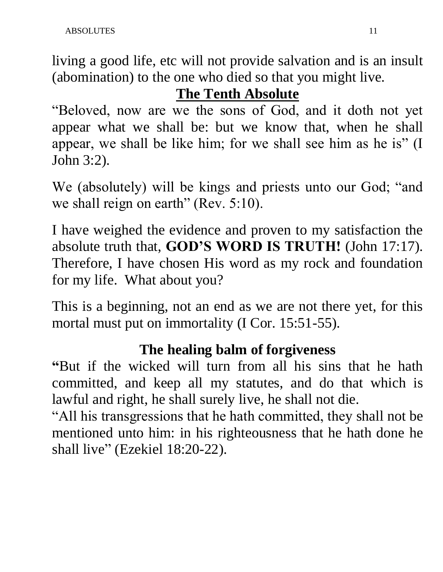living a good life, etc will not provide salvation and is an insult (abomination) to the one who died so that you might live.

## **The Tenth Absolute**

"Beloved, now are we the sons of God, and it doth not yet appear what we shall be: but we know that, when he shall appear, we shall be like him; for we shall see him as he is" (I John 3:2).

We (absolutely) will be kings and priests unto our God; "and we shall reign on earth" (Rev. 5:10).

I have weighed the evidence and proven to my satisfaction the absolute truth that, **GOD'S WORD IS TRUTH!** (John 17:17). Therefore, I have chosen His word as my rock and foundation for my life. What about you?

This is a beginning, not an end as we are not there yet, for this mortal must put on immortality (I Cor. 15:51-55).

## **The healing balm of forgiveness**

**"**But if the wicked will turn from all his sins that he hath committed, and keep all my statutes, and do that which is lawful and right, he shall surely live, he shall not die.

"All his transgressions that he hath committed, they shall not be mentioned unto him: in his righteousness that he hath done he shall live" (Ezekiel 18:20-22).